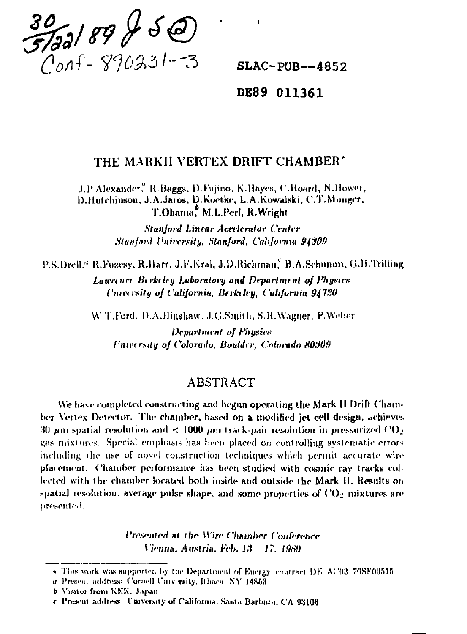$\frac{30}{5/22}/899250$ 

 $SLAC$ -PUB--4852

### DE89 011361

## THE MARKII VERTEX DRIFT CHAMBER\*

J.P.Alexander, R.Baggs, D.Fujino, K.Hayes, C.Hoard, N.Hower, D.Hutchinson, J.A.Jaros, D.Koetke, L.A.Kowalski, C.T.Munger, T.Ohama, M.L.Perl, R.Wright

> **Stanford Linear Accelerator Center** Stanlord University, Stanlord, California 94309

P.S.Drell." R.Fuzesy, R.Harr, J.F.Kral, J.D.Richman, B.A.Schumm, G.H.Trilling

**Lawn are Berkeley Laboratory and Department of Physics** University of California, Berkeley, California 94720

W.T.Ford, D.A.Hinshaw, J.G.Smith, S.R.Wagner, P.Weber

**Department of Physics** University of Colorado, Boulder, Colorado 80309

## **ABSTRACT**

We have completed constructing and begun operating the Mark II Drift Chamber Vertex Detector. The chamber, based on a modified jet cell design, achieves 30 µm spatial resolution and < 1000 µm track-pair resolution in pressurized  $CO<sub>2</sub>$ gas mixtures. Special emphasis has been placed on controlling systematic errors including the use of novel construction techniques which permit accurate wire placement. Chamber performance has been studied with cosmic ray tracks collected with the chamber located both inside and outside the Mark II. Results on spatial resolution, average pulse shape, and some properties of  $CO<sub>2</sub>$  mixtures are presented.

> Presented at the Wire Chamber Conference Vienna, Austria, Feb. 13 - 17, 1989

<sup>\*</sup> This work was supported by the Department of Energy, contract DE AC03 76SF00515.

a Present address: Cornell University, Ithaca, NY 14853

**b** Visitor from KEK, Japan

c. Present address. University of California, Santa Barbara, CA 93106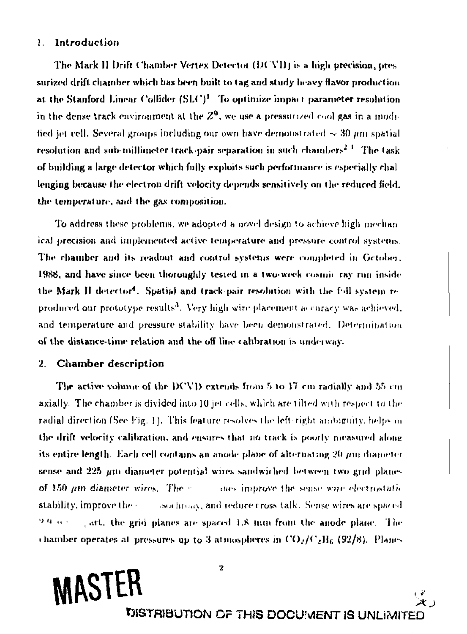#### Introduction 1.

The Mark II Drift Chamber Vertex Detector (DCVD) is a high precision, pressurized drift chamber which has been built to tag and study heavy flavor production at the Stanford Linear Collider (SLC)<sup>1</sup> To optimize impact parameter resolution in the dense track environment at the  $Z^0$ , we use a pressurized cool gas in a modified jet cell. Several groups including our own have demonstrated  $\sim$  30  $\mu$ m spatial resolution and sub-millimeter track-pair separation in such chambers<sup>2.3</sup> The task of building a large detector which fully exploits such performance is especially challenging because the electron drift velocity depends sensitively on the reduced field. the temperature, and the gas composition.

To address these problems, we adopted a novel design to achieve high mechan ical precision and implemented active temperature and pressure control systems. The chamber and its readout and control systems were completed in Gctober. 1988, and have since been thoroughly tested in a two-week cosmic ray run inside the Mark II detector<sup>4</sup>. Spatial and track-pair resolution with the foll system reproduced our prototype results<sup>3</sup>. Very high wire placement accuracy was achieved. and temperature and pressure stability have been demonstrated. Determination of the distance-time relation and the off line calibration is underway.

#### **Chamber description** 2.

**MASTER** 

The active volume of the DCVD extends from 5 to 17 cm radially and 55 cm axially. The chamber is divided into 10 jet cells, which are tilted with respect to the radial direction (See Fig. 1). This feature resolves the left-right ambiguity, helps in the drift velocity calibration, and ensures that no track is poorly measured along its entire length. Each cell contains an anode plane of alternating 20 mm diameter sense and 225 um diameter potential wires sandwiched between two grid planes of 150 pm diameter wires. The rest improve the sense wire electrostatic stability, improve the c sochroay, and reduce cross talk. Sense wires are spaced , art, the grid planes are spaced 1.8 mm from the anode plane. The 94 a c chamber operates at pressures up to 3 atmospheres in  $CO_2/C_2H_6$  (92/8). Planes

 $\mathbf{z}$ 

DISTRIBUTION OF THIS DOCUMENT IS UNLIMITED

د علا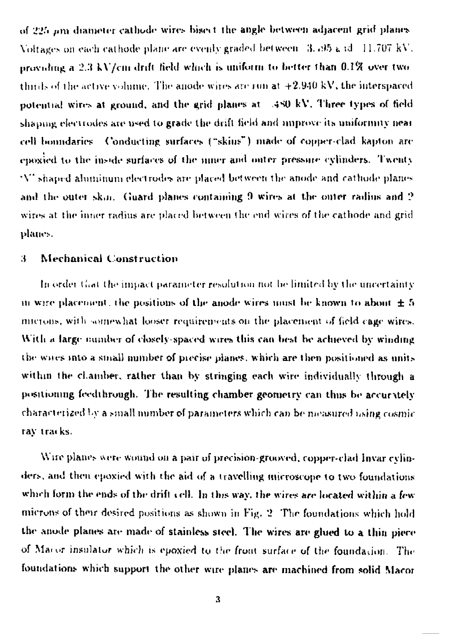of 225 pm diameter cathode wires bisect the angle between adjacent grid planes Voltages on each cathode plane are evenly graded between 3.195 g id 11.707 kV. providing a 2.3 kV/cm drift field which is uniform to better than 0.1% over two thirds of the active volume. The anode wires are run at  $+2.940 \text{ kV}$ , the interspaced potential wires at ground, and the grid planes at 380 kV. Three types of field shaping electrodes are used to grade the drift field and improve its uniformity near cell boundaries. Conducting surfaces ("skins") made of copper-clad kapton are epoxied to the inside surfaces of the niner and outer pressure cylinders. Twenty "V" shaped aluminum electrodes are placed between the anode and cathode planes and the outer skin. Guard planes containing 9 wires at the outer radius and 2 wires at the inner radius are placed between the end wires of the cathode and grid planes.

#### Mechanical Construction 4.

In order that the impact parameter resolution not be limited by the uncertainty in wire placement, the positions of the anode wires must be known to about  $\pm 5$ microns, with somewhat looser requirements on the placement of field cage wires. With a large number of closely-spaced wires this can best be achieved by winding the wires into a small number of precise planes, which are then positioned as units within the cliamber, rather than by stringing each wire individually through a positioning feedthrough. The resulting chamber geometry can thus be accurately characterized by a small number of parameters which can be measured using cosmic ray tracks.

Wire planes were wound on a pair of precision-grooved, copper-clad Invar cylinders, and then epoxied with the aid of a travelling microscope to two foundations which form the ends of the drift cell. In this way, the wires are located within a few microns of their desired positions as shown in Fig. 2. The foundations which hold the anode planes are made of stainless steel. The wires are glued to a thin piece of Macor insulator which is epoxied to the front surface of the foundation. The foundations which support the other wire planes are machined from solid Macor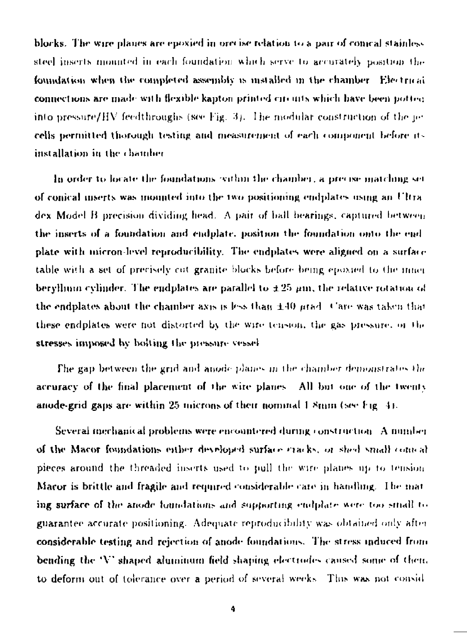blocks. The wire planes are epoxied in orecise relation to a pair of comcal stainless steel inserts mounted in each foundation which serve to accurately position the foundation when the completed assembly is mstalled in the chamber. Electrical connections are made with flexible kanton printed circuits which have been notice. into pressure/HV feedthroughs (see Fig. 3). The modular construction of the  $w$ cells permitted thorough testing and measurement of each component before itinstallation in the chamber

In order to locate the foundations within the chainber, a precise matching set of conical meets was mounted into the two positioning endplates using an Ultra dex Model B precision dividing head. A pair of ball bearings, captured between the inserts of a foundation and endplate, position the foundation onto the end plate with micron-level reproducibility. The endplates were aligned on a surface table with a set of precisely cut granite blocks before being epossed to the inner beryllium cylinder. The endplates are parallel to  $\pm 25$   $\mu$ m, the relative rotation of the endplates about the chamber axis is less than  $\pm 40$  prade Care was taken that these endplates were not distorted by the wire tension, the gas pressure, or the stresses imposed by bolting the pressure vessel

The gap between the grid and anode planes in the chamber demonstrates the accuracy of the final placement of the wire planes. All but one of the twenty anode-grid gaps are within 25 microns of their nominal  $1.8$ mm (see Fig. 4).

Several mechanical problems were encountered during construction. A number of the Macor foundations either developed surface cracks, or shed small comcal pieces around the threaded inserts used to pull the wire planes up to tension Macor is brittle and fragile and required considerable care in handling. The mat ing surface of the anode foundations and supporting endplate were too small to guarantee accurate positioning. Adequate reproducibility was obtained only after considerable testing and rejection of anode foundations. The stress induced from bending the 'V' shaped aluminum field shaping electrodes caused some of them to deform out of tolerance over a period of several weeks. This was not consid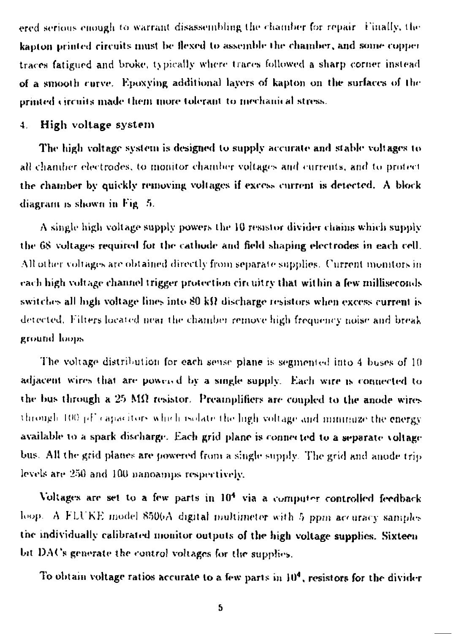ered serious enough to warrant disassembling the chamber for repair if inally, the kapton printed circuits must be flexed to assemble the chamber, and some copper traces faligurd and broke, topically wliere trares followed a sharp corner instead of a smooth curve. Kpoxying additional layers of kapton on the surfaces of the printed circuits made them more tolerant to mechanical stress.

### 4. Higli voltage system

The high voltage system is designed to supply accurate and stable voltages to all chamber electrodes, to monitor chamber voltages and currents, and to protect the chamber by quickly removing voltages if excess current is detected. A block diagram is shown in Fig. 5.

A single high voltage supply powers the 10 resistor divider chains which supply the 68 voltages required for the cathode and field shaping electrodes in each cell. All oilier voltages are obtained directly from separate supplies. Current monitors in each high voltage channel trigger protection circuitry that within a few milliseconds switches all high voltage lines into  $80 \text{ k}\Omega$  discharge resistors when excess current is detected. Filters located near the chamber remove high frequency noise and break ground loops

The voltage distribution for each sense plane is segmented into 4 buses of 10 adjacent wires that are powered by a single supply. Each wire is connected to the bus through a *'2->* MO resistor. Preamplifiers are coupled to the anode wires through  $100$   $\mu$ . Capacitors which isolate the ligh voltage and minimize the energy available to a spark discharge. Each grid plane is connected to a separate voltage bus, All the grid planes are powered from a single supply The grid and anode trip levels are 250 and 10U nanoamps respectively.

Voltages are set to a few parts in  $10<sup>4</sup>$  via a computer controlled feedback loop. A FLUKE model  $8506A$  digital multimeter with 5 ppm accuracy samples the individually calibrated monitor outputs of the high voltage supplies. Sixteen bit DACs generate the control voltages for the supplier.

To obtain voltage ratios accurate to a few parts in  $10^4$ , resistors for the divider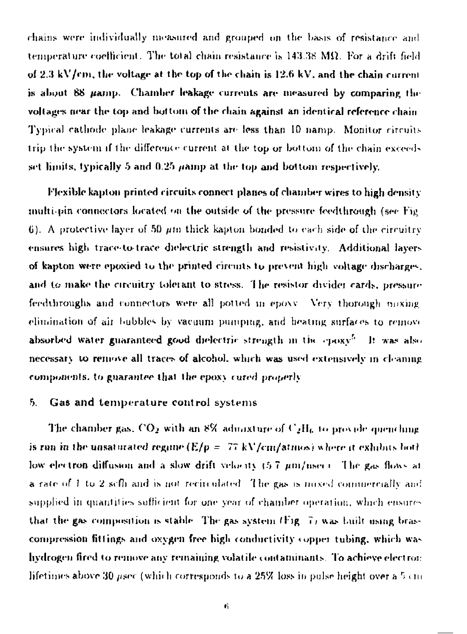chains were individually measured and grouped on the basis of resistance and temperature coefficient. The total chain resistance is  $143.38$  M $\Omega$ . For a drift field of  $2.3 \text{ kV/cm}$ , the voltage at the top of the chain is  $12.6 \text{ kV}$ , and the chain current is about 88 *µamp*. Chamber leakage currents are measured by comparing the voltages near the top and bottom of the chain against an identical reference chain Typical cathode plane leakage currents are less than 10 namp. Monitor circuits trip the system if the difference current at the top or bottom of the chain exceedset limits, typically 5 and 0.25 namp at the top and bottom respectively.

Flexible kapton printed circuits connect planes of chamber wires to high density multi-pin connectors located on the outside of the pressure feedthrough (see Fig. 6). A protective layer of 50 pm thick kapton bonded to each side of the circuitry ensures high trace-to-trace dielectric strength and resistivity. Additional layers of kapton were epoxied to the printed circuits to prevent high voltage discharges. and to make the circuitry tolerant to stress. The resistor divider cards, pressure feedthroughs and connectors were all potted in epoxy. Very thorough maxing elimination of air bubbles by vacuum pumping, and beating surfaces to remove absorbed water guaranteed good dielectric strength in the epoxy<sup>5</sup>. It was also necessary to remove all traces of alcohol, which was used extensively in cleaning components, to guarantee that the epoxy cured properly

#### 5. Gas and temperature control systems

The chamber gas,  $CO_2$  with an 8% admixture of  $C_2H_6$  to provide quenching is run in the unsaturated regame  $(E/p = 77 \text{ kV/cm/atmos})$  where it exhibits both low electron diffusion and a slow drift velocity  $(5.7 \mu m/\text{nsec})$ . The gas flows at **a** rate of 1 to 2 selfi and is not recirculated. The gas is noxed commercially and supplied in quantities sufficient for one year of chamber operation, which ensures that the gas composition is stable. The gas system (Fig. 7) was built using brascompression fittings and oxygen free high conductivity copper tubing, which was hydrogen fired to remove any remaining volatile contaminants. To achieve electron lifetimes above 30 *usec* (which corresponds to a 25% loss in pulse height over a 5 cm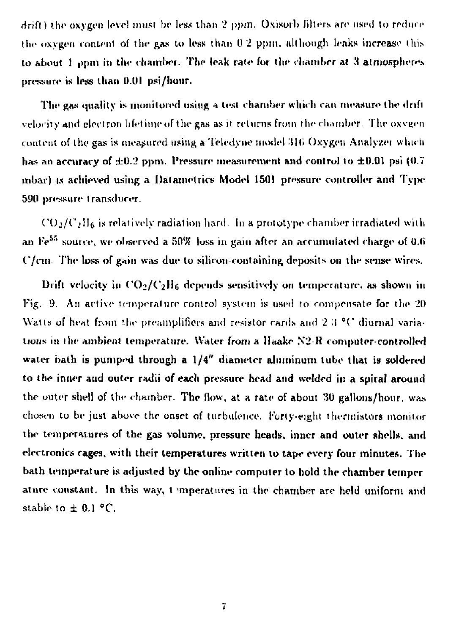drift) the oxygen level must be less than 2 ppm, Oxisoib filters arc used to reduce the oxygen content of the gas to less than 0.2 ppm. although leaks increase this to about 1  $_{\rm ppm}$  in the chamber. The leak rate for the chamber at 3 atmospheres pressure is less than U.OI psi/hoiir.

The gas quality is monitored using a test chamber which can measure the drift velocity and electron lifetime of the gas as it returns from the chamber. The oxvgen content of the gas is measured using a Teledyne model 316 Oxygen Analyzer which has an accuracy of  $\pm 0.2$  ppm. Pressure measurement and control to  $\pm 0.01$  psi (0.7) mbar) is achieved using a Datametrics Model 1501 pressure controller and Type 590 pressure transducer.

 $CO<sub>2</sub>/C<sub>2</sub>H<sub>6</sub>$  is relatively radiation hard. In a prototype chamber irradiated with an Fe<sup>55</sup> source, we observed a 50% loss in gain after an accumulated charge of 0.6- $C/cm$ . The loss of gain was due to silicon-containing deposits on the sense wires.

Drift velocity in  $\rm CO_2/C_2H_6$  depends sensitively on temperature, as shown in Fig. 9. An active temperature control system is used to compensate for the 20 Watts of heat from the preamplifiers and resistor cards and  $2.3$  °C diurnal variations in the ambient temperature. Water from a Haake N2-R computer-controlled water hath is pumped through a  $1/4''$  diameter aluminum tube that is soldered to the inner aud outer radii of each pressure head and welded in a spiral around the outer shell of the chamber. The flow, at a rate of about 30 gallons/hour, was chosen lo be just above the onset of turbulence, Forty-eight thermistors monitor the temperatures of the gas volume, pressure heads, inner and outer shells, and electronics cages, with their temperatures written lo tape every four minutes. The bath temperature is adjusted by the online computer to hold the chamber temper ature constant. In this way, t 'mperattires in the chamber are held uniform and stable to  $\pm$  0.1 °C.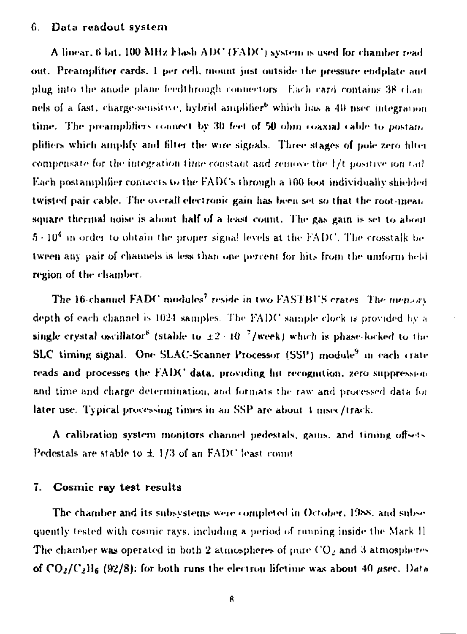#### Data readout system 6.

A linear, 6 bit, 100 MHz Flash ADC (FADC) system is used for chamber read out. Preamplifier cards. I per cell, mount just outside the pressure endplate and plug into the anode plane feedthrough connectors. Each card contains 38 channels of a fast, charge-sensitive, hybrid amplifier<sup>b</sup> which has a 40 nsec integration time. The preamplifiers connect by 30 feet of 50 ohin coaxial cable to postain plifiers which amplify and filter the wire signals. Three stages of pole zero filter compensate for the integration time constant and remove the 1/t positive join (a). Each postamplifier connects to the FADCs through a 100 foot individually shielded twisted pair cable. The overall electronic gain has been set so that the root-mean square thermal noise is about half of a least count. The gas gain is set to about 5 - 10<sup>4</sup> in order to obtain the proper signal levels at the FADC. The crosstalk be tween any pair of channels is less than one percent for hits from the umform held region of the chamber.

The 16-channel FADC modules<sup>7</sup> reside in two FASTBUS crates. The mensory depth of each channel is 1024 samples. The FADC sample clock is provided by a single crystal oscillator<sup>8</sup> (stable to  $\pm 2 \cdot 10^{-7}$ /week) which is phase-locked to the SLC timing signal. One SLAC-Scanner Processor (SSP) module<sup>9</sup> in each crate reads and processes the FADC data, providing hit recognition, zero suppression and time and charge determination, and formats the raw and processed data for later use. Typical processing times in an SSP are about 1 msec/track.

A calibration system monitors channel pedestals, gains, and timing offsets Pedestals are stable to ± 1/3 of an FADC least count

#### Cosmic ray test results  $7.$

The chamber and its subsystems were completed in October, 1988, and subsequently tested with cosmic rays, including a period of running inside the Mark II The chamber was operated in both 2 atmospheres of pure  $CO<sub>2</sub>$  and 3 atmospheres of  $CO_2/C_2H_6$  (92/8); for both runs the electron lifetime was about 40 usec. Data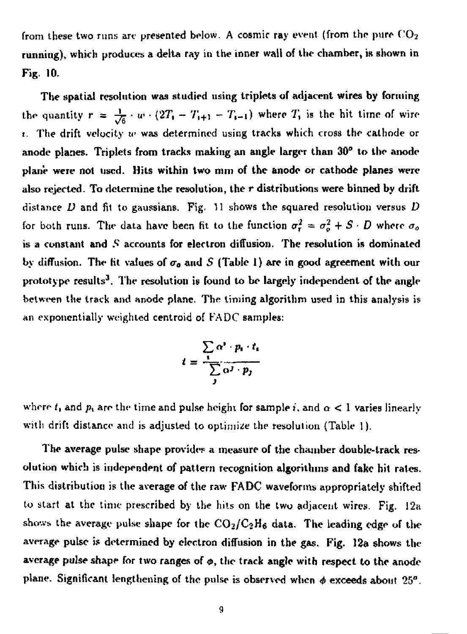from these two runs are presented below. A cosmic ray event (from the pure  $CO<sub>2</sub>$ running), which produces a delta ray in the inner wall of the chamber, is shown in Fig. 10.

The spatial resolution was studied using triplets of adjacent wires by forming the quantity  $r = \frac{1}{\sqrt{6}} \cdot w \cdot (2T_1 - T_{i+1} - T_{i-1})$  where  $T_i$  is the hit time of wire 1. The drift velocity *w* was determined using tracks which cross the cathode or anode planes. Triplets from tracks making an angle larger than 30° to the anode plane were not used. Hits within two mm of the anode or cathode planes were also rejected. To determine the resolution, the *r* distributions were binned by drift distance *D* and fit to ganssians. Fig. 11 shows the squared resolution versus *D*  for both runs. The data have been fit to the function  $\sigma_r^2 = \sigma_o^2 + S \cdot D$  where  $\sigma_o$ is a constant and S accounts for electron diffusion. The resolution is dominated by diffusion. The fit values of  $\sigma_a$  and S (Table 1) are in good agreement with our prototype results<sup>3</sup>. The resolution is found to be largely independent of the angle between the track and anode plane. The timing algorithm used in this analysis is an exponentially weighted centroid of FADC samples:

$$
t = \frac{\sum_{i} \alpha^{i} \cdot p_{i} \cdot t_{i}}{\sum_{j} \alpha^{j} \cdot p_{j}}
$$

where  $t_i$  and  $p_i$  are the time and pulse height for sample *i*, and  $\alpha < 1$  varies linearly with drift distance and is adjusted to optimize the resolution (Table 1).

The average pulse shape provides a measure of the chamber double-track resolution which is independent of pattern recognition algorithms and fake hit rates. This distribution is the average of the raw FADC waveforms appropriately shifted to start at the time prescribed by the hits on the two adjacent wires. Fig. 12a shows the average pulse shape for the  $CO<sub>2</sub>/C<sub>2</sub>H<sub>6</sub>$  data. The leading edge of the average pulse is determined by electron diffusion in the gas. Fig. 12a shows the average pulse shape for two ranges of ø, the track angle with respect to the anode plane. Significant lengthening of the pulse is observed when *4* exceeds about 25".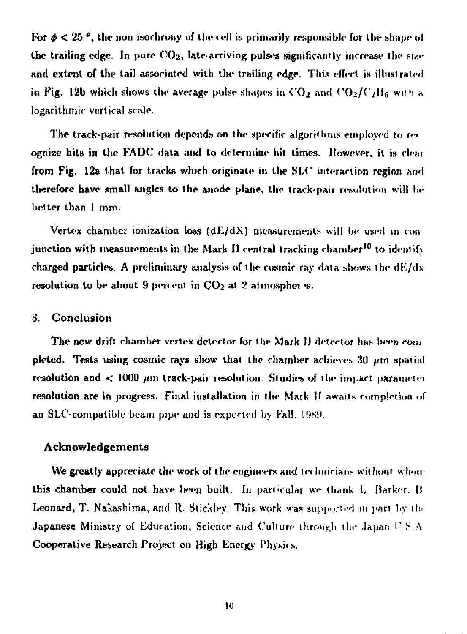For  $\phi < 25$  °, the non-isorhrony of the cell is primarily responsible for the shape of the trailing edge. In pure  $CO<sub>2</sub>$ , late-arriving pulses significantly increase the size and extent of the tail associated with the trailing edge. This effect is illustrated in Fig. 12b which shows the average pulse shapes in  $CO_2$  and  $CO_2/C_2H_6$  with  $*$ logarithmic vertical scale.

The track-pair resolution depends on the specific algorithms employed to re< ognize hits in the FA DC data and to determine hit limes. However, it is ekai from Fig. 12a that for tracks which originate in the SLC interaction region and therefore have small angles to the anode plane, the track-pair resolution will be better than 1 mm-

Vertex chamber ionization loss  $(dE/dX)$  measurements will be used in conjunction with measurements in the Mark II central tracking chamber<sup>10</sup> to identify charged particles. A preliminary analysis of the cosmic ray data shows the dE/dx resolution to be about 9 percent in  $CO<sub>2</sub>$  at 2 atmospher s.

### 8. Conclusion

The new drift chamber vertex detector for the Mark JJ detertor has been *rom*  pleted. Tests using cosmic rays show that the chamber achieves 30  $\mu$ m spatial resolution and  $< 1000 \mu m$  track-pair resolution. Studies of the impact parameter resolution are in progress. Final installation in the Mark II awaits completion of an SLC-compatible beam pipe and is expected by Fall,  $1989$ .

### Acknowledgements

We greatly appreciate the work of the engineers and technicians without whom this chamber could not have been built. In particular we thank L Barker, B Leonard, T. Nakashima, and R. Stickley. This work was supported in part by the Japanese Ministry of Education, Science and Culture through the Japan  $\Gamma.S.A$ Cooperative Research Projeet on High Energy Physics.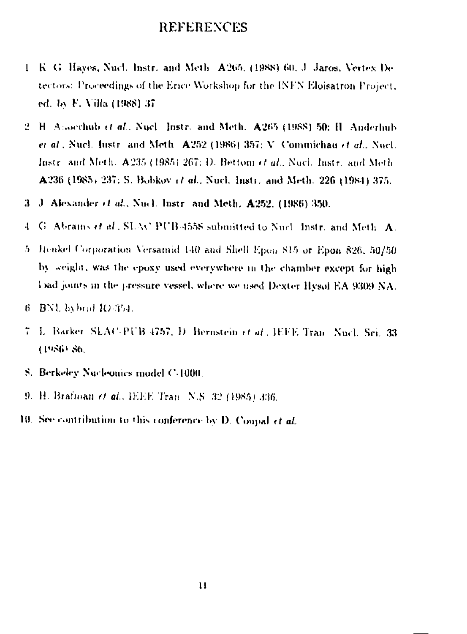## **REFERENCES**

- 1 K. G. Hayes, Nucl. Instr. and Meth. A265, (1988) 60, J. Jaros, Vertex De tectors: Proceedings of the Erice Workshop for the INFN Elojsatron Project, ed. by F. Villa (1988) 37
- 2. H. Assochub et al., Nucl., Instr., and Meth., A265 (1988) 50: H. Anderhub et al., Nucl. Instr. and Meth. A252 (1986) 357; V. Commichau et al., Nucl. Instr. and Meth. A235 (1985) 267; D. Bettom et al., Nucl. Instr. and Meth A236 (1985) 237; S. Bobkov et al., Nucl. Instr. and Meth. 226 (1984) 375.
- 3 J. Alexander et al., Nucl. Instr. and Meth. A252, (1986) 350.
- G. Abrains et al., SLAC PUB-4558 submitted to Nucl., Instr., and Meth. A. 4
- 5. Henkel Corporation Versamid 140 and Shell Epon 815 or Epon 826, 50/50 by seight, was the epoxy used everywhere in the chamber except for high Dad joints in the pressure vessel, where we used Dexter Hysol EA 9309 NA.
- $6$   $\,$  BNL bybrid  $10.354$ .
- 7. L. Barker, SLAC-PUB 4757, D. Bernstein et al., IEEE Tran. Nucl. Sci. 33. (1986) 86.
- S. Berkeley Nacleonics model C-1000.
- 9. H. Brafinan et al., IEEE Tran. N.S. 32 (1985) 336.
- 19. See contribution to this conference by D. Conval  $et$  al.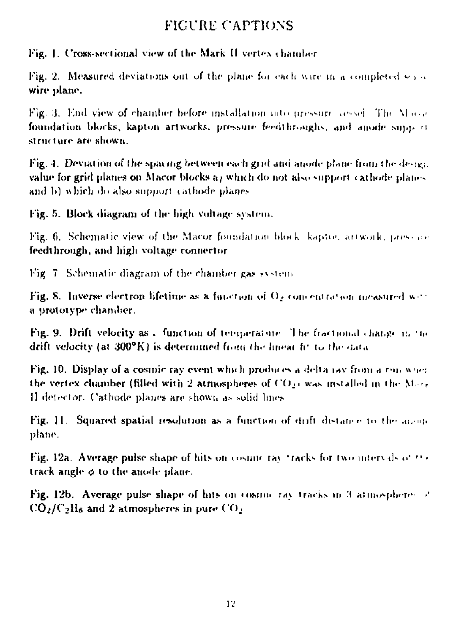# **FIGURE CAPTIONS**

Fig. 1. Cross-sectional view of the Mark II vertex chamber

Fig. 2. Measured deviations out of the plane for each wire in a completed set of wire plane.

Fig. 3. End view of chamber before installation into pressure vessel. The Maco foundation blocks, kapton artworks, pressure feedthroughs, and anode support structure are shown.

Fig. 4. Deviation of the spacing between each grid and anode plane from the design value for grid planes on Macor blocks a) which do not also support cathode planes and b) which do also support cathode planes

Fig. 5. Block diagram of the high voltage system.

Fig. 6. Schematic view of the Macor foundation block, kaptos artwork, pressure feedthrough, and high voltage connector

Fig. 7. Schematic diagram of the chamber gas system

Fig. 8. Inverse electron lifetime as a function of  $\Omega_{\mathcal{E}}$  concentration measured with a prototype chandier.

Fig. 9. Drift velocity as a function of temperature. The fractional charge in the drift velocity (at 300°K) is determined from the linear fit to the data

Fig. 10. Display of a cosmic ray event which produces a delta (ay from a run when the vertex chamber (filled with 2 atmospheres of  $CO_{21}$  was installed in the Marr Il detector. Cathode planes are shown as solid lines

Fig. 11. Squared spatial resolution as a function of drift distance to the anone plane.

Fig. 12a. Average pulse shape of hits on cosmic ray tracks for two intervals of  $\psi$ . track angle & to the anode plane.

Fig. 12b. Average pulse shape of hits on cosmic ray tracks in 3 atmospheres of  $CO_2/C_2H_6$  and 2 atmospheres in pure  $CO_2$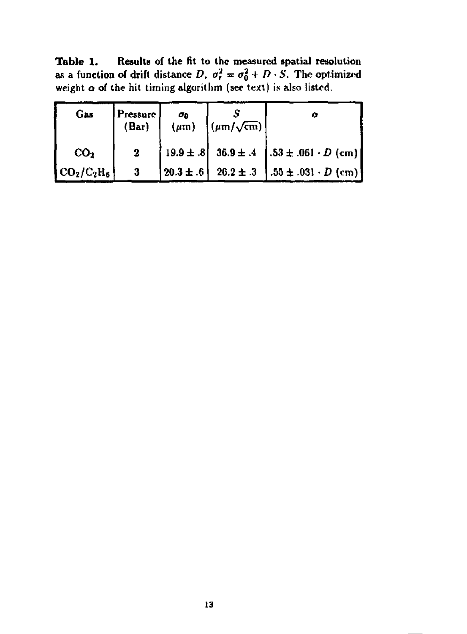**Table 1. Results of the fit to the measured spatial resolution**  as a function of drift distance *D,*  $\sigma_r^2 = \sigma_0^2 + D \cdot S$ . The optimized weight **o of** the hit liming algorithm (see text) is also listed.

| Gas                 | Pressure  <br>(Bar) | σņ | $(\mu m)$ $(\mu m/\sqrt{cm})$ | Ω                                                                                                                   |
|---------------------|---------------------|----|-------------------------------|---------------------------------------------------------------------------------------------------------------------|
| CO <sub>2</sub>     | $\bf{2}$            |    |                               | $ 19.9 \pm .8 $ 36.9 ± .4 $ .53 \pm .061 \cdot D$ (cm)                                                              |
| $\rm [CO_2/C_2H_6]$ | -3-                 |    |                               | $\begin{bmatrix} 20.3 \pm .6 \end{bmatrix}$ 26.2 $\pm .3$ $\begin{bmatrix} .55 \pm .031 \cdot D \end{bmatrix}$ (cm) |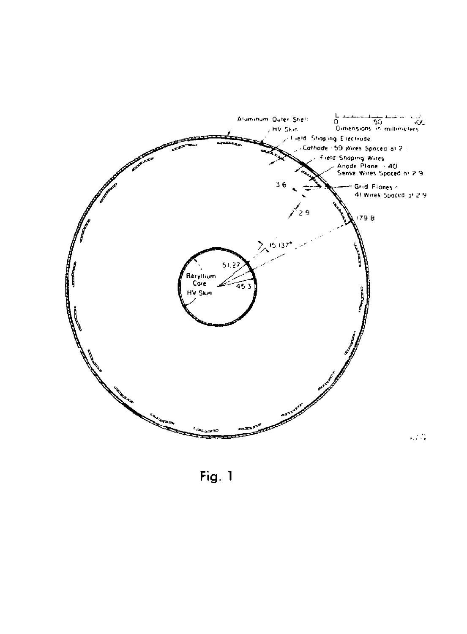

Fig. 1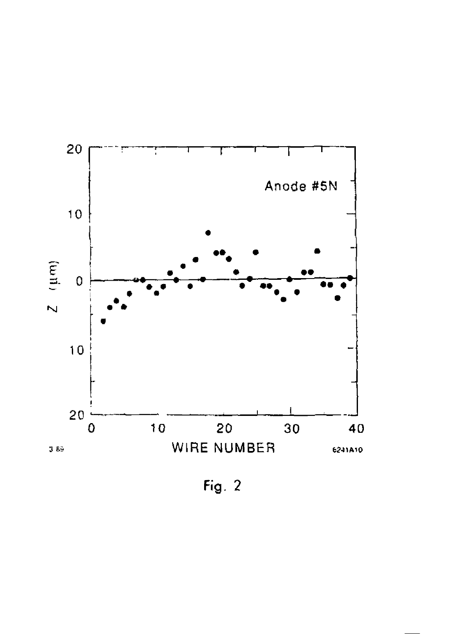

Fig.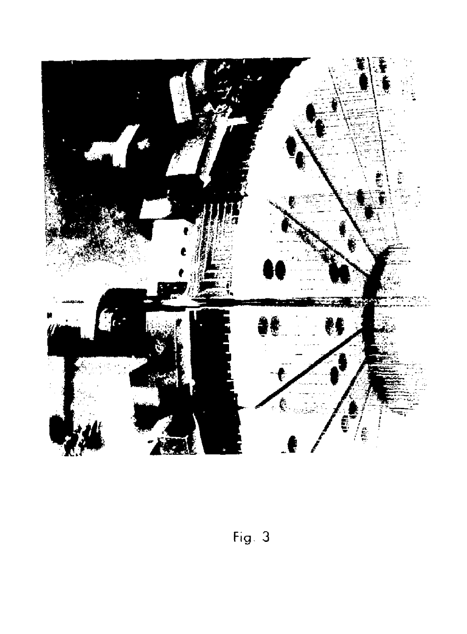

Fig.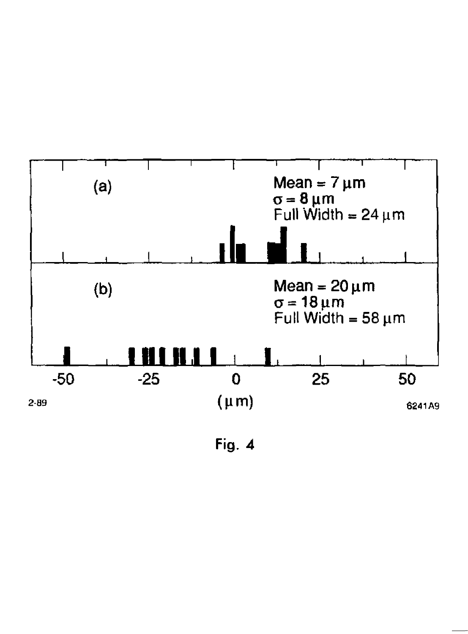

Fig. 4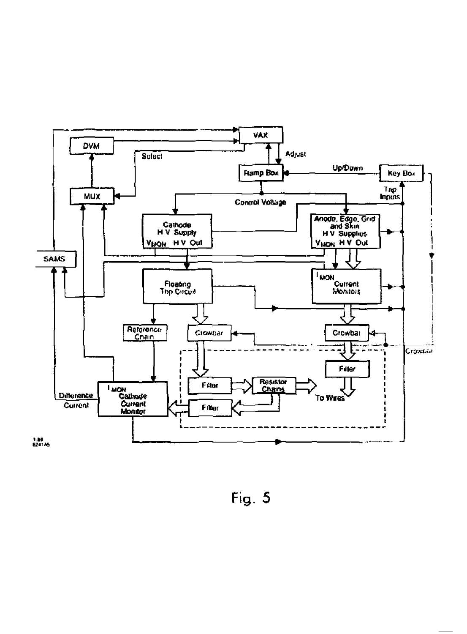

Fig. 5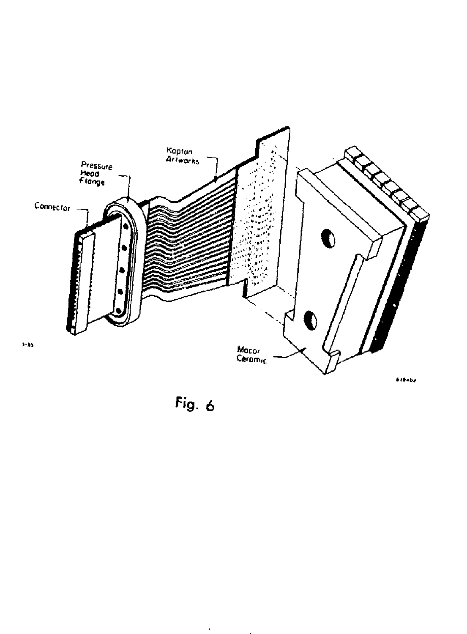

Fig.  $6$ 

 $\bullet$ 

 $\mathbf{r}$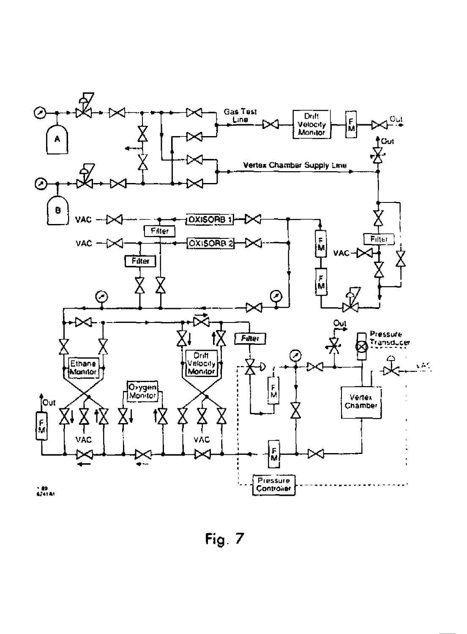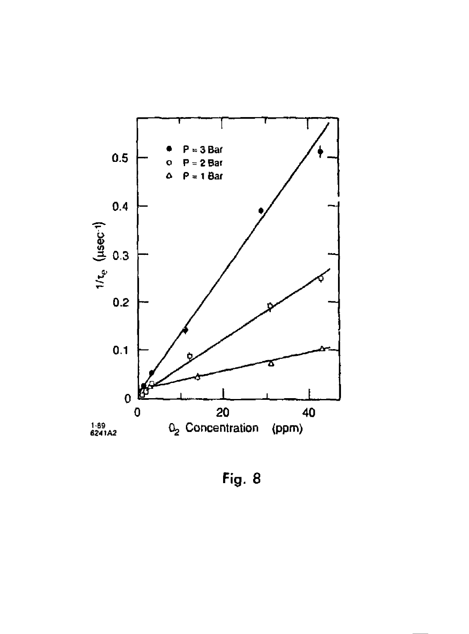

Fig. 8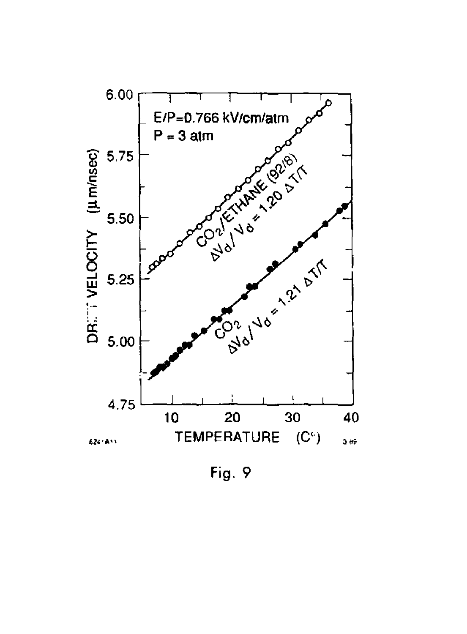

Fig. 9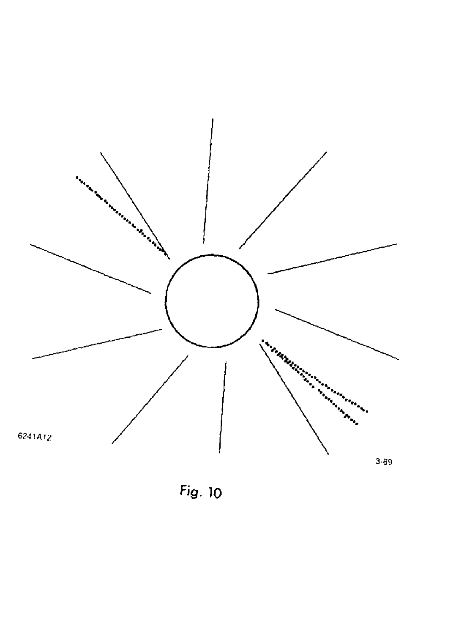

Fig. 10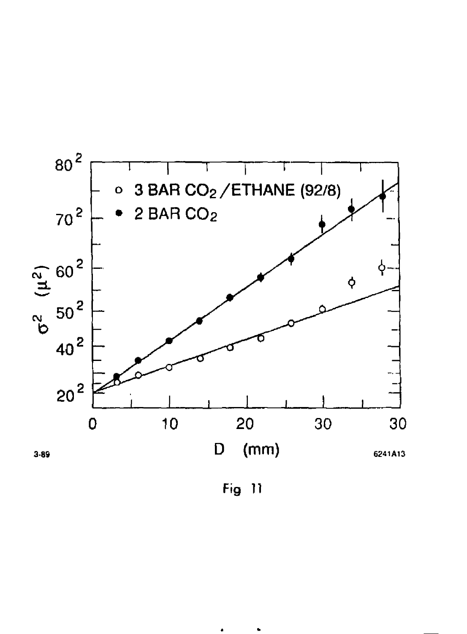

Fig 11

 $\bullet$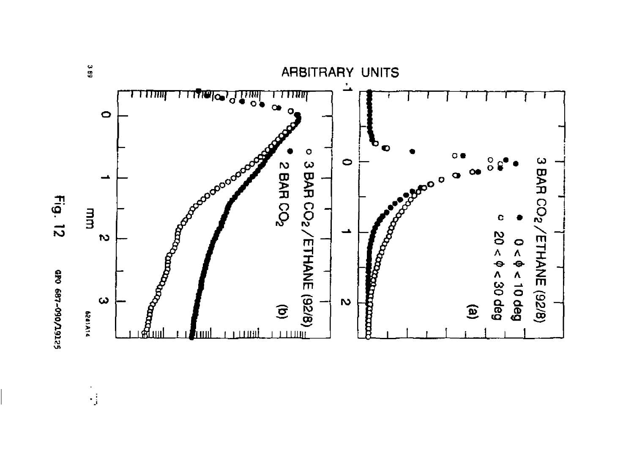

GEO 687-090/19125

 $\frac{1}{2}$